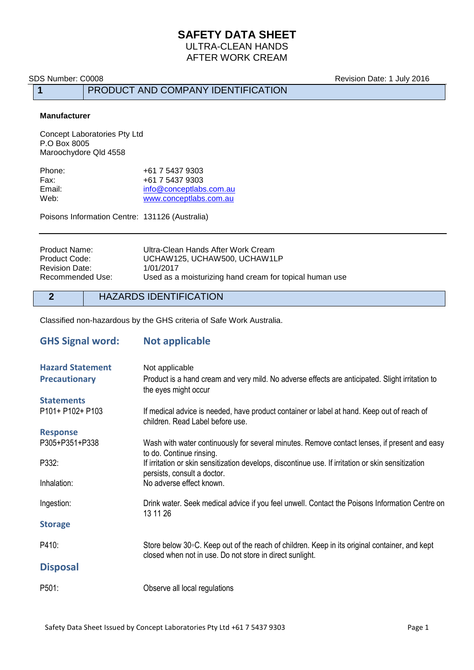# **SAFETY DATA SHEET**

ULTRA-CLEAN HANDS AFTER WORK CREAM

**1** PRODUCT AND COMPANY IDENTIFICATION

SDS Number: C0008 **Revision Date: 1 July 2016** 

#### **Manufacturer**

Concept Laboratories Pty Ltd P.O Box 8005 Maroochydore Qld 4558

| Phone: | +61 7 5437 9303         |
|--------|-------------------------|
| Fax:   | +61 7 5437 9303         |
| Email: | info@conceptlabs.com.au |
| Web:   | www.conceptlabs.com.au  |

Poisons Information Centre: 131126 (Australia)

| Ultra-Clean Hands After Work Cream                      |
|---------------------------------------------------------|
| UCHAW125, UCHAW500, UCHAW1LP                            |
| 1/01/2017                                               |
| Used as a moisturizing hand cream for topical human use |
|                                                         |

**2** HAZARDS IDENTIFICATION

Classified non-hazardous by the GHS criteria of Safe Work Australia.

| <b>GHS Signal word:</b> | <b>Not applicable</b>                                                                                                                                              |
|-------------------------|--------------------------------------------------------------------------------------------------------------------------------------------------------------------|
| <b>Hazard Statement</b> | Not applicable                                                                                                                                                     |
| <b>Precautionary</b>    | Product is a hand cream and very mild. No adverse effects are anticipated. Slight irritation to<br>the eyes might occur                                            |
| <b>Statements</b>       |                                                                                                                                                                    |
| P101+ P102+ P103        | If medical advice is needed, have product container or label at hand. Keep out of reach of<br>children. Read Label before use.                                     |
| <b>Response</b>         |                                                                                                                                                                    |
| P305+P351+P338          | Wash with water continuously for several minutes. Remove contact lenses, if present and easy<br>to do. Continue rinsing.                                           |
| P332:                   | If irritation or skin sensitization develops, discontinue use. If irritation or skin sensitization<br>persists, consult a doctor.                                  |
| Inhalation:             | No adverse effect known.                                                                                                                                           |
| Ingestion:              | Drink water. Seek medical advice if you feel unwell. Contact the Poisons Information Centre on<br>13 11 26                                                         |
| <b>Storage</b>          |                                                                                                                                                                    |
| P410:                   | Store below $30\degree$ C. Keep out of the reach of children. Keep in its original container, and kept<br>closed when not in use. Do not store in direct sunlight. |
| <b>Disposal</b>         |                                                                                                                                                                    |
| P501:                   | Observe all local regulations                                                                                                                                      |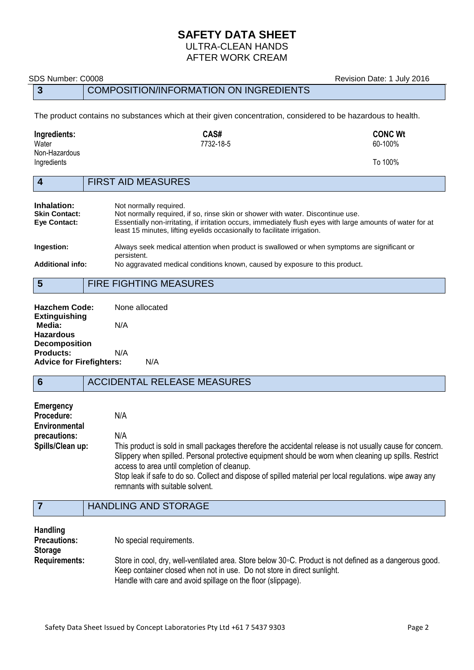# **SAFETY DATA SHEET**

#### ULTRA-CLEAN HANDS AFTER WORK CREAM

## **3** COMPOSITION/INFORMATION ON INGREDIENTS

The product contains no substances which at their given concentration, considered to be hazardous to health.

| Ingredients:<br>Water        |                           | CAS#<br>7732-18-5 | <b>CONC Wt</b><br>60-100% |
|------------------------------|---------------------------|-------------------|---------------------------|
| Non-Hazardous<br>Ingredients |                           |                   | To 100%                   |
|                              | <b>FIRST AID MEASURES</b> |                   |                           |

| Inhalation:             | Not normally required.                                                                                                                                                                  |
|-------------------------|-----------------------------------------------------------------------------------------------------------------------------------------------------------------------------------------|
| <b>Skin Contact:</b>    | Not normally required, if so, rinse skin or shower with water. Discontinue use.                                                                                                         |
| Eye Contact:            | Essentially non-irritating, if irritation occurs, immediately flush eyes with large amounts of water for at<br>least 15 minutes, lifting eyelids occasionally to facilitate irrigation. |
| Ingestion:              | Always seek medical attention when product is swallowed or when symptoms are significant or<br>persistent.                                                                              |
| <b>Additional info:</b> | No aggravated medical conditions known, caused by exposure to this product.                                                                                                             |
|                         |                                                                                                                                                                                         |

### **5** FIRE FIGHTING MEASURES

| <b>Hazchem Code:</b>            |     | None allocated |
|---------------------------------|-----|----------------|
| <b>Extinguishing</b>            |     |                |
| Media:                          | N/A |                |
| Hazardous                       |     |                |
| <b>Decomposition</b>            |     |                |
| <b>Products:</b>                | N/A |                |
| <b>Advice for Firefighters:</b> |     | N/A            |

## **6** ACCIDENTAL RELEASE MEASURES

| Emergency        |                                                                                                                                                      |
|------------------|------------------------------------------------------------------------------------------------------------------------------------------------------|
| Procedure:       | N/A                                                                                                                                                  |
| Environmental    |                                                                                                                                                      |
| precautions:     | N/A                                                                                                                                                  |
| Spills/Clean up: | This product is sold in small packages therefore the accidental release is not usually cause for concern.                                            |
|                  | Slippery when spilled. Personal protective equipment should be worn when cleaning up spills. Restrict<br>access to area until completion of cleanup. |
|                  | Stop leak if safe to do so. Collect and dispose of spilled material per local regulations, wipe away any<br>remnants with suitable solvent.          |

## **7** HANDLING AND STORAGE

| <b>Handling</b>      |                                                                                                                                                                                     |
|----------------------|-------------------------------------------------------------------------------------------------------------------------------------------------------------------------------------|
| <b>Precautions:</b>  | No special requirements.                                                                                                                                                            |
| <b>Storage</b>       |                                                                                                                                                                                     |
| <b>Requirements:</b> | Store in cool, dry, well-ventilated area. Store below 30 °C. Product is not defined as a dangerous good.<br>Keep container closed when not in use. Do not store in direct sunlight. |
|                      | Handle with care and avoid spillage on the floor (slippage).                                                                                                                        |

SDS Number: C0008 **Revision Date: 1 July 2016**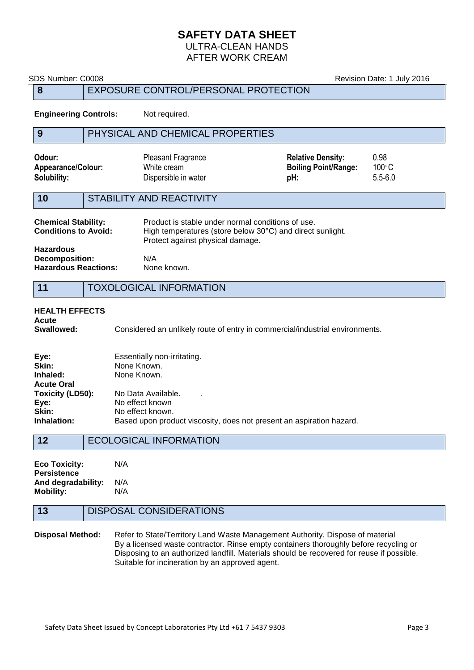### **SAFETY DATA SHEET** ULTRA-CLEAN HANDS

AFTER WORK CREAM

| SDS Number: C0008                                                                                                                                                                                               |                                      |                                                                  | Revision Date: 1 July 2016                                     |                                        |
|-----------------------------------------------------------------------------------------------------------------------------------------------------------------------------------------------------------------|--------------------------------------|------------------------------------------------------------------|----------------------------------------------------------------|----------------------------------------|
| 8                                                                                                                                                                                                               | EXPOSURE CONTROL/PERSONAL PROTECTION |                                                                  |                                                                |                                        |
| <b>Engineering Controls:</b>                                                                                                                                                                                    |                                      | Not required.                                                    |                                                                |                                        |
| 9                                                                                                                                                                                                               |                                      | PHYSICAL AND CHEMICAL PROPERTIES                                 |                                                                |                                        |
| Odour:<br>Appearance/Colour:<br>Solubility:                                                                                                                                                                     |                                      | <b>Pleasant Fragrance</b><br>White cream<br>Dispersible in water | <b>Relative Density:</b><br><b>Boiling Point/Range:</b><br>pH: | 0.98<br>$100^{\circ}$ C<br>$5.5 - 6.0$ |
| 10                                                                                                                                                                                                              |                                      | <b>STABILITY AND REACTIVITY</b>                                  |                                                                |                                        |
| Product is stable under normal conditions of use.<br><b>Chemical Stability:</b><br><b>Conditions to Avoid:</b><br>High temperatures (store below 30°C) and direct sunlight.<br>Protect against physical damage. |                                      |                                                                  |                                                                |                                        |
| <b>Hazardous</b><br><b>Decomposition:</b><br><b>Hazardous Reactions:</b>                                                                                                                                        |                                      | N/A<br>None known.                                               |                                                                |                                        |
| <b>TOXOLOGICAL INFORMATION</b><br>11                                                                                                                                                                            |                                      |                                                                  |                                                                |                                        |
| <b>HEALTH EFFECTS</b><br>Acute<br>Swallowed:<br>Considered an unlikely route of entry in commercial/industrial environments.                                                                                    |                                      |                                                                  |                                                                |                                        |

| Eye:               | Essentially non-irritating.                                          |
|--------------------|----------------------------------------------------------------------|
| Skin:              | None Known.                                                          |
| Inhaled:           | None Known.                                                          |
| <b>Acute Oral</b>  |                                                                      |
| Toxicity (LD50):   | No Data Available.                                                   |
| Eye:               | No effect known                                                      |
| <b>Skin:</b>       | No effect known.                                                     |
| <b>Inhalation:</b> | Based upon product viscosity, does not present an aspiration hazard. |
|                    |                                                                      |

| <b>Eco Toxicity:</b> | N/A |
|----------------------|-----|
| <b>Persistence</b>   |     |
| And degradability:   | N/A |
| <b>Mobility:</b>     | N/A |

## **13** DISPOSAL CONSIDERATIONS

#### **Disposal Method:** Refer to State/Territory Land Waste Management Authority. Dispose of material By a licensed waste contractor. Rinse empty containers thoroughly before recycling or Disposing to an authorized landfill. Materials should be recovered for reuse if possible. Suitable for incineration by an approved agent.